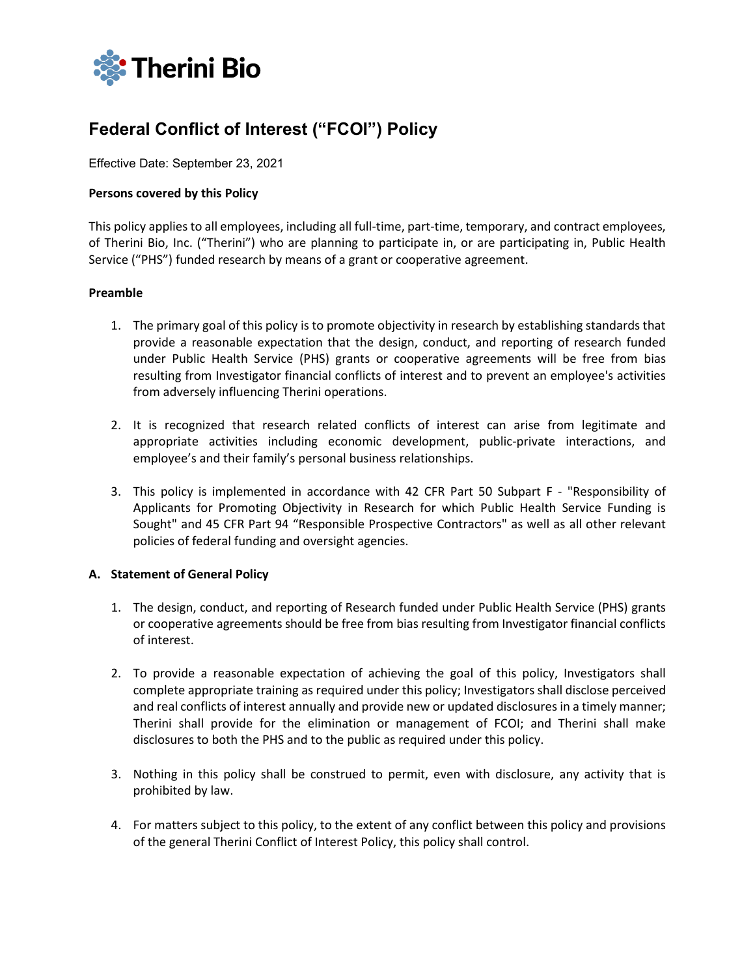

# **Federal Conflict of Interest ("FCOI") Policy**

Effective Date: September 23, 2021

#### **Persons covered by this Policy**

This policy applies to all employees, including all full-time, part-time, temporary, and contract employees, of Therini Bio, Inc. ("Therini") who are planning to participate in, or are participating in, Public Health Service ("PHS") funded research by means of a grant or cooperative agreement.

#### **Preamble**

- 1. The primary goal of this policy is to promote objectivity in research by establishing standards that provide a reasonable expectation that the design, conduct, and reporting of research funded under Public Health Service (PHS) grants or cooperative agreements will be free from bias resulting from Investigator financial conflicts of interest and to prevent an employee's activities from adversely influencing Therini operations.
- 2. It is recognized that research related conflicts of interest can arise from legitimate and appropriate activities including economic development, public-private interactions, and employee's and their family's personal business relationships.
- 3. This policy is implemented in accordance with 42 CFR Part 50 Subpart F "Responsibility of Applicants for Promoting Objectivity in Research for which Public Health Service Funding is Sought" and 45 CFR Part 94 "Responsible Prospective Contractors" as well as all other relevant policies of federal funding and oversight agencies.

#### **A. Statement of General Policy**

- 1. The design, conduct, and reporting of Research funded under Public Health Service (PHS) grants or cooperative agreements should be free from bias resulting from Investigator financial conflicts of interest.
- 2. To provide a reasonable expectation of achieving the goal of this policy, Investigators shall complete appropriate training as required under this policy; Investigators shall disclose perceived and real conflicts of interest annually and provide new or updated disclosures in a timely manner; Therini shall provide for the elimination or management of FCOI; and Therini shall make disclosures to both the PHS and to the public as required under this policy.
- 3. Nothing in this policy shall be construed to permit, even with disclosure, any activity that is prohibited by law.
- 4. For matters subject to this policy, to the extent of any conflict between this policy and provisions of the general Therini Conflict of Interest Policy, this policy shall control.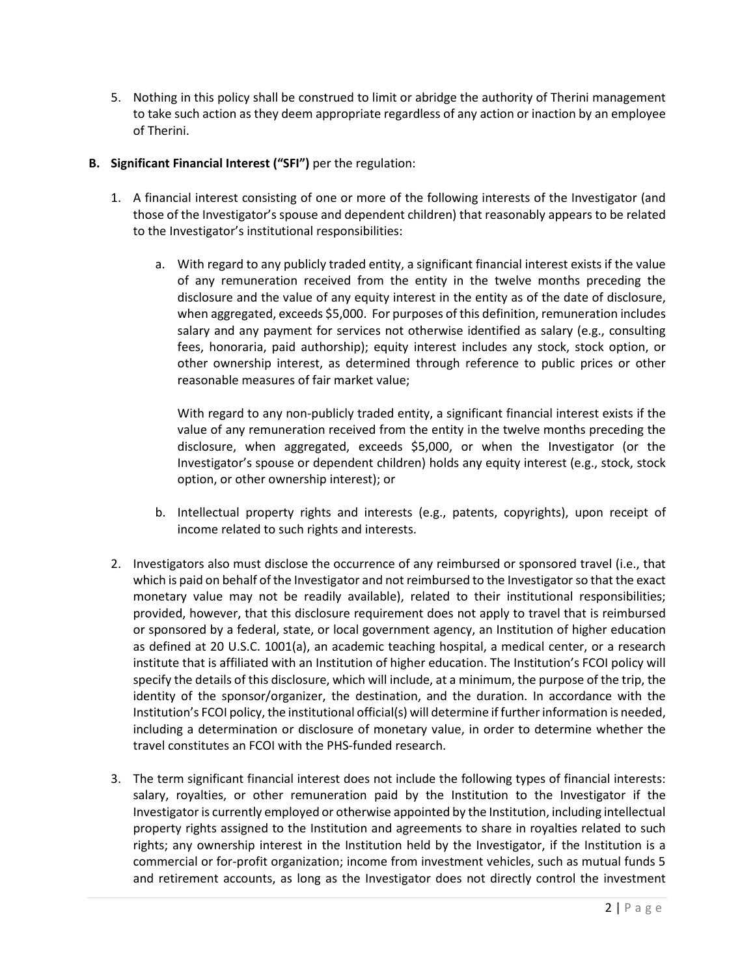- 5. Nothing in this policy shall be construed to limit or abridge the authority of Therini management to take such action as they deem appropriate regardless of any action or inaction by an employee of Therini.
- **B. Significant Financial Interest ("SFI")** per the regulation:
	- 1. A financial interest consisting of one or more of the following interests of the Investigator (and those of the Investigator's spouse and dependent children) that reasonably appears to be related to the Investigator's institutional responsibilities:
		- a. With regard to any publicly traded entity, a significant financial interest exists if the value of any remuneration received from the entity in the twelve months preceding the disclosure and the value of any equity interest in the entity as of the date of disclosure, when aggregated, exceeds \$5,000. For purposes of this definition, remuneration includes salary and any payment for services not otherwise identified as salary (e.g., consulting fees, honoraria, paid authorship); equity interest includes any stock, stock option, or other ownership interest, as determined through reference to public prices or other reasonable measures of fair market value;

With regard to any non-publicly traded entity, a significant financial interest exists if the value of any remuneration received from the entity in the twelve months preceding the disclosure, when aggregated, exceeds \$5,000, or when the Investigator (or the Investigator's spouse or dependent children) holds any equity interest (e.g., stock, stock option, or other ownership interest); or

- b. Intellectual property rights and interests (e.g., patents, copyrights), upon receipt of income related to such rights and interests.
- 2. Investigators also must disclose the occurrence of any reimbursed or sponsored travel (i.e., that which is paid on behalf of the Investigator and not reimbursed to the Investigator so that the exact monetary value may not be readily available), related to their institutional responsibilities; provided, however, that this disclosure requirement does not apply to travel that is reimbursed or sponsored by a federal, state, or local government agency, an Institution of higher education as defined at 20 U.S.C. 1001(a), an academic teaching hospital, a medical center, or a research institute that is affiliated with an Institution of higher education. The Institution's FCOI policy will specify the details of this disclosure, which will include, at a minimum, the purpose of the trip, the identity of the sponsor/organizer, the destination, and the duration. In accordance with the Institution's FCOI policy, the institutional official(s) will determine if further information is needed, including a determination or disclosure of monetary value, in order to determine whether the travel constitutes an FCOI with the PHS-funded research.
- 3. The term significant financial interest does not include the following types of financial interests: salary, royalties, or other remuneration paid by the Institution to the Investigator if the Investigator is currently employed or otherwise appointed by the Institution, including intellectual property rights assigned to the Institution and agreements to share in royalties related to such rights; any ownership interest in the Institution held by the Investigator, if the Institution is a commercial or for-profit organization; income from investment vehicles, such as mutual funds 5 and retirement accounts, as long as the Investigator does not directly control the investment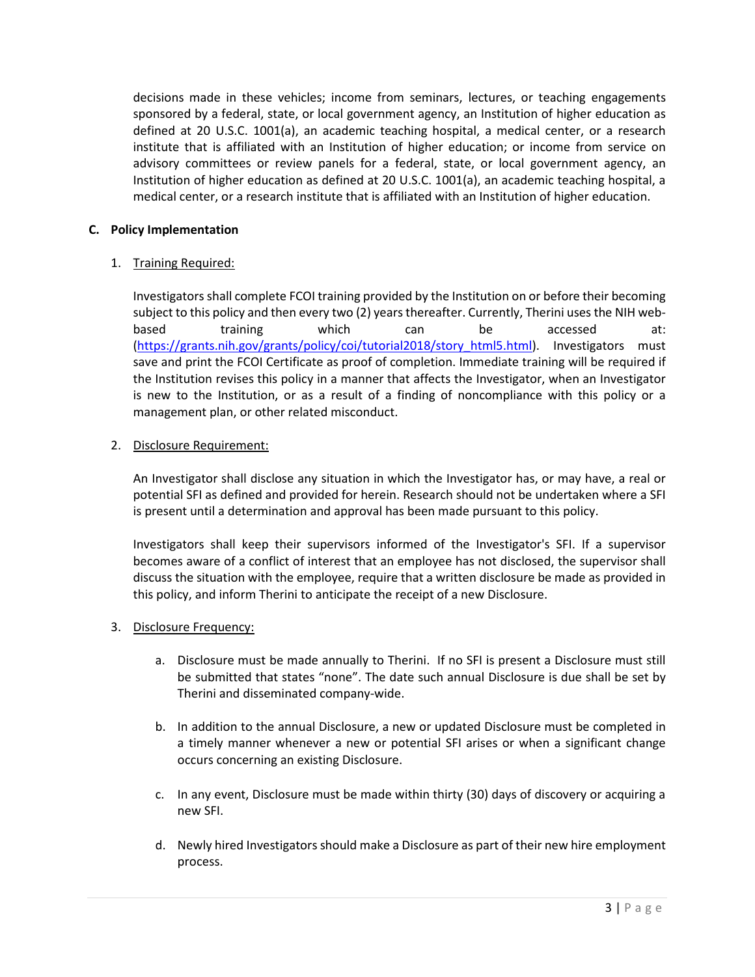decisions made in these vehicles; income from seminars, lectures, or teaching engagements sponsored by a federal, state, or local government agency, an Institution of higher education as defined at 20 U.S.C. 1001(a), an academic teaching hospital, a medical center, or a research institute that is affiliated with an Institution of higher education; or income from service on advisory committees or review panels for a federal, state, or local government agency, an Institution of higher education as defined at 20 U.S.C. 1001(a), an academic teaching hospital, a medical center, or a research institute that is affiliated with an Institution of higher education.

## **C. Policy Implementation**

# 1. Training Required:

Investigators shall complete FCOI training provided by the Institution on or before their becoming subject to this policy and then every two (2) years thereafter. Currently, Therini uses the NIH webbased training which can be accessed at: [\(https://grants.nih.gov/grants/policy/coi/tutorial2018/story\\_html5.html\)](https://grants.nih.gov/grants/policy/coi/tutorial2018/story_html5.html). Investigators must save and print the FCOI Certificate as proof of completion. Immediate training will be required if the Institution revises this policy in a manner that affects the Investigator, when an Investigator is new to the Institution, or as a result of a finding of noncompliance with this policy or a management plan, or other related misconduct.

## 2. Disclosure Requirement:

An Investigator shall disclose any situation in which the Investigator has, or may have, a real or potential SFI as defined and provided for herein. Research should not be undertaken where a SFI is present until a determination and approval has been made pursuant to this policy.

Investigators shall keep their supervisors informed of the Investigator's SFI. If a supervisor becomes aware of a conflict of interest that an employee has not disclosed, the supervisor shall discuss the situation with the employee, require that a written disclosure be made as provided in this policy, and inform Therini to anticipate the receipt of a new Disclosure.

## 3. Disclosure Frequency:

- a. Disclosure must be made annually to Therini. If no SFI is present a Disclosure must still be submitted that states "none". The date such annual Disclosure is due shall be set by Therini and disseminated company-wide.
- b. In addition to the annual Disclosure, a new or updated Disclosure must be completed in a timely manner whenever a new or potential SFI arises or when a significant change occurs concerning an existing Disclosure.
- c. In any event, Disclosure must be made within thirty (30) days of discovery or acquiring a new SFI.
- d. Newly hired Investigators should make a Disclosure as part of their new hire employment process.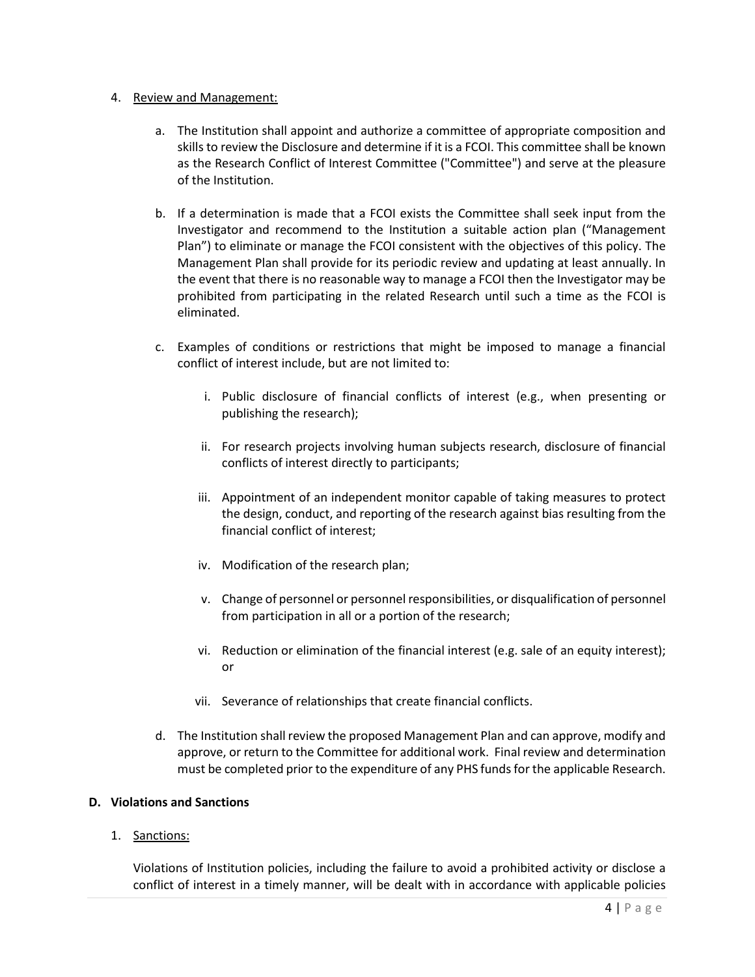#### 4. Review and Management:

- a. The Institution shall appoint and authorize a committee of appropriate composition and skills to review the Disclosure and determine if it is a FCOI. This committee shall be known as the Research Conflict of Interest Committee ("Committee") and serve at the pleasure of the Institution.
- b. If a determination is made that a FCOI exists the Committee shall seek input from the Investigator and recommend to the Institution a suitable action plan ("Management Plan") to eliminate or manage the FCOI consistent with the objectives of this policy. The Management Plan shall provide for its periodic review and updating at least annually. In the event that there is no reasonable way to manage a FCOI then the Investigator may be prohibited from participating in the related Research until such a time as the FCOI is eliminated.
- c. Examples of conditions or restrictions that might be imposed to manage a financial conflict of interest include, but are not limited to:
	- i. Public disclosure of financial conflicts of interest (e.g., when presenting or publishing the research);
	- ii. For research projects involving human subjects research, disclosure of financial conflicts of interest directly to participants;
	- iii. Appointment of an independent monitor capable of taking measures to protect the design, conduct, and reporting of the research against bias resulting from the financial conflict of interest;
	- iv. Modification of the research plan;
	- v. Change of personnel or personnel responsibilities, or disqualification of personnel from participation in all or a portion of the research;
	- vi. Reduction or elimination of the financial interest (e.g. sale of an equity interest); or
	- vii. Severance of relationships that create financial conflicts.
- d. The Institution shall review the proposed Management Plan and can approve, modify and approve, or return to the Committee for additional work. Final review and determination must be completed prior to the expenditure of any PHS funds for the applicable Research.

## **D. Violations and Sanctions**

1. Sanctions:

Violations of Institution policies, including the failure to avoid a prohibited activity or disclose a conflict of interest in a timely manner, will be dealt with in accordance with applicable policies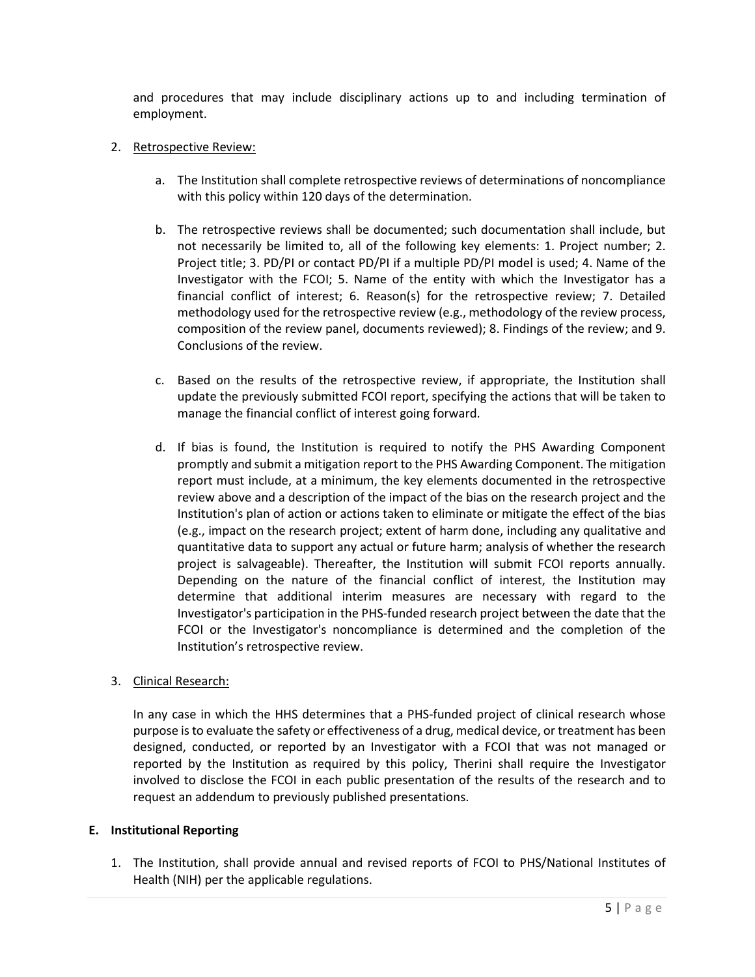and procedures that may include disciplinary actions up to and including termination of employment.

#### 2. Retrospective Review:

- a. The Institution shall complete retrospective reviews of determinations of noncompliance with this policy within 120 days of the determination.
- b. The retrospective reviews shall be documented; such documentation shall include, but not necessarily be limited to, all of the following key elements: 1. Project number; 2. Project title; 3. PD/PI or contact PD/PI if a multiple PD/PI model is used; 4. Name of the Investigator with the FCOI; 5. Name of the entity with which the Investigator has a financial conflict of interest; 6. Reason(s) for the retrospective review; 7. Detailed methodology used for the retrospective review (e.g., methodology of the review process, composition of the review panel, documents reviewed); 8. Findings of the review; and 9. Conclusions of the review.
- c. Based on the results of the retrospective review, if appropriate, the Institution shall update the previously submitted FCOI report, specifying the actions that will be taken to manage the financial conflict of interest going forward.
- d. If bias is found, the Institution is required to notify the PHS Awarding Component promptly and submit a mitigation report to the PHS Awarding Component. The mitigation report must include, at a minimum, the key elements documented in the retrospective review above and a description of the impact of the bias on the research project and the Institution's plan of action or actions taken to eliminate or mitigate the effect of the bias (e.g., impact on the research project; extent of harm done, including any qualitative and quantitative data to support any actual or future harm; analysis of whether the research project is salvageable). Thereafter, the Institution will submit FCOI reports annually. Depending on the nature of the financial conflict of interest, the Institution may determine that additional interim measures are necessary with regard to the Investigator's participation in the PHS-funded research project between the date that the FCOI or the Investigator's noncompliance is determined and the completion of the Institution's retrospective review.

## 3. Clinical Research:

In any case in which the HHS determines that a PHS-funded project of clinical research whose purpose is to evaluate the safety or effectiveness of a drug, medical device, or treatment has been designed, conducted, or reported by an Investigator with a FCOI that was not managed or reported by the Institution as required by this policy, Therini shall require the Investigator involved to disclose the FCOI in each public presentation of the results of the research and to request an addendum to previously published presentations.

## **E. Institutional Reporting**

1. The Institution, shall provide annual and revised reports of FCOI to PHS/National Institutes of Health (NIH) per the applicable regulations.